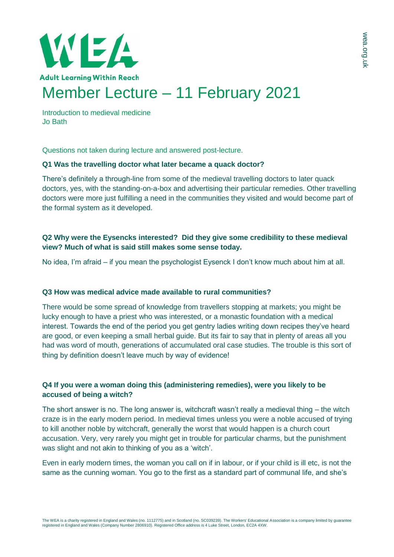

Introduction to medieval medicine Jo Bath

Questions not taken during lecture and answered post-lecture.

## **Q1 Was the travelling doctor what later became a quack doctor?**

There's definitely a through-line from some of the medieval travelling doctors to later quack doctors, yes, with the standing-on-a-box and advertising their particular remedies. Other travelling doctors were more just fulfilling a need in the communities they visited and would become part of the formal system as it developed.

# **Q2 Why were the Eysencks interested? Did they give some credibility to these medieval view? Much of what is said still makes some sense today.**

No idea, I'm afraid – if you mean the psychologist Eysenck I don't know much about him at all.

## **Q3 How was medical advice made available to rural communities?**

There would be some spread of knowledge from travellers stopping at markets; you might be lucky enough to have a priest who was interested, or a monastic foundation with a medical interest. Towards the end of the period you get gentry ladies writing down recipes they've heard are good, or even keeping a small herbal guide. But its fair to say that in plenty of areas all you had was word of mouth, generations of accumulated oral case studies. The trouble is this sort of thing by definition doesn't leave much by way of evidence!

# **Q4 If you were a woman doing this (administering remedies), were you likely to be accused of being a witch?**

The short answer is no. The long answer is, witchcraft wasn't really a medieval thing – the witch craze is in the early modern period. In medieval times unless you were a noble accused of trying to kill another noble by witchcraft, generally the worst that would happen is a church court accusation. Very, very rarely you might get in trouble for particular charms, but the punishment was slight and not akin to thinking of you as a 'witch'.

Even in early modern times, the woman you call on if in labour, or if your child is ill etc, is not the same as the cunning woman. You go to the first as a standard part of communal life, and she's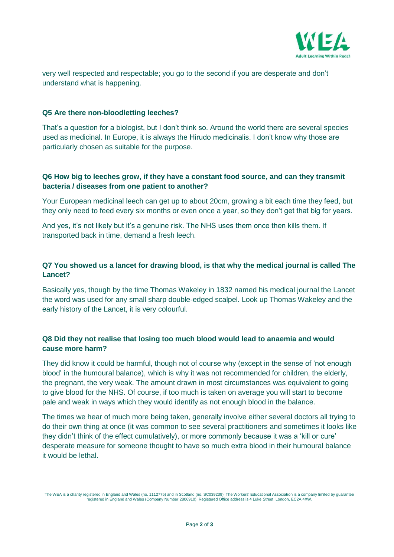

very well respected and respectable; you go to the second if you are desperate and don't understand what is happening.

## **Q5 Are there non-bloodletting leeches?**

That's a question for a biologist, but I don't think so. Around the world there are several species used as medicinal. In Europe, it is always the Hirudo medicinalis. I don't know why those are particularly chosen as suitable for the purpose.

# **Q6 How big to leeches grow, if they have a constant food source, and can they transmit bacteria / diseases from one patient to another?**

Your European medicinal leech can get up to about 20cm, growing a bit each time they feed, but they only need to feed every six months or even once a year, so they don't get that big for years.

And yes, it's not likely but it's a genuine risk. The NHS uses them once then kills them. If transported back in time, demand a fresh leech.

# **Q7 You showed us a lancet for drawing blood, is that why the medical journal is called The Lancet?**

Basically yes, though by the time Thomas Wakeley in 1832 named his medical journal the Lancet the word was used for any small sharp double-edged scalpel. Look up Thomas Wakeley and the early history of the Lancet, it is very colourful.

# **Q8 Did they not realise that losing too much blood would lead to anaemia and would cause more harm?**

They did know it could be harmful, though not of course why (except in the sense of 'not enough blood' in the humoural balance), which is why it was not recommended for children, the elderly, the pregnant, the very weak. The amount drawn in most circumstances was equivalent to going to give blood for the NHS. Of course, if too much is taken on average you will start to become pale and weak in ways which they would identify as not enough blood in the balance.

The times we hear of much more being taken, generally involve either several doctors all trying to do their own thing at once (it was common to see several practitioners and sometimes it looks like they didn't think of the effect cumulatively), or more commonly because it was a 'kill or cure' desperate measure for someone thought to have so much extra blood in their humoural balance it would be lethal.

The WEA is a charity registered in England and Wales (no. 1112775) and in Scotland (no. SC039239). The Workers' Educational Association is a company limited by guarantee<br>registered in England and Wales (Company Number 2806